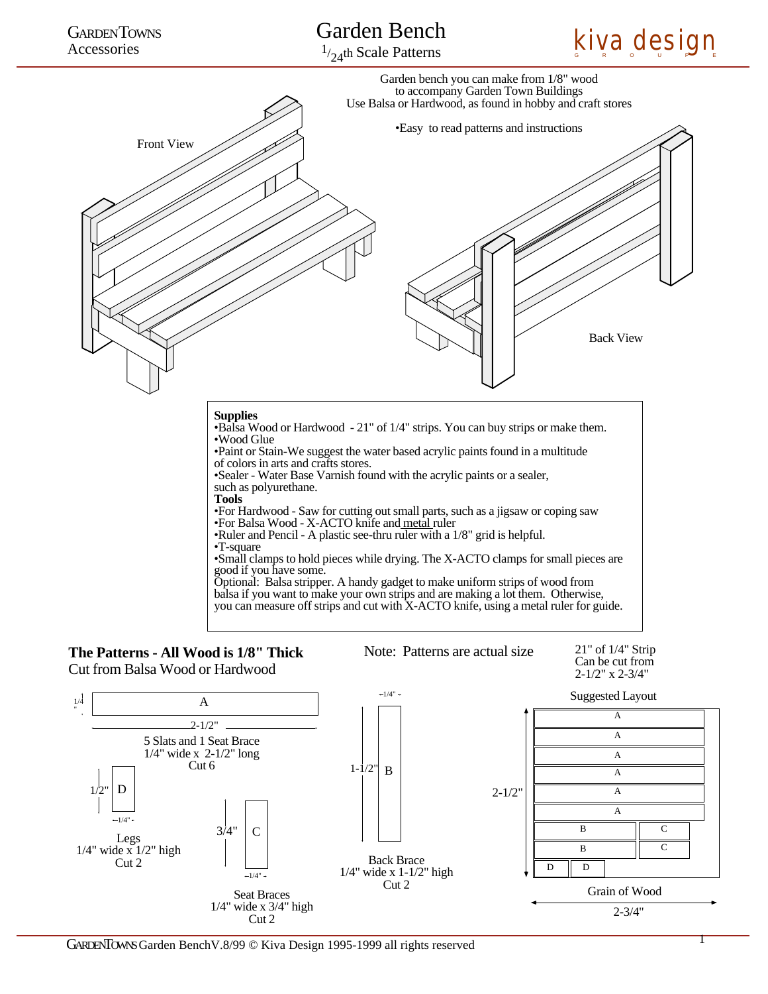

1/ 24th Scale Patterns





## Cut from Balsa Wood or Hardwood  $\frac{2.1}{2}$ " x 2-3/4"